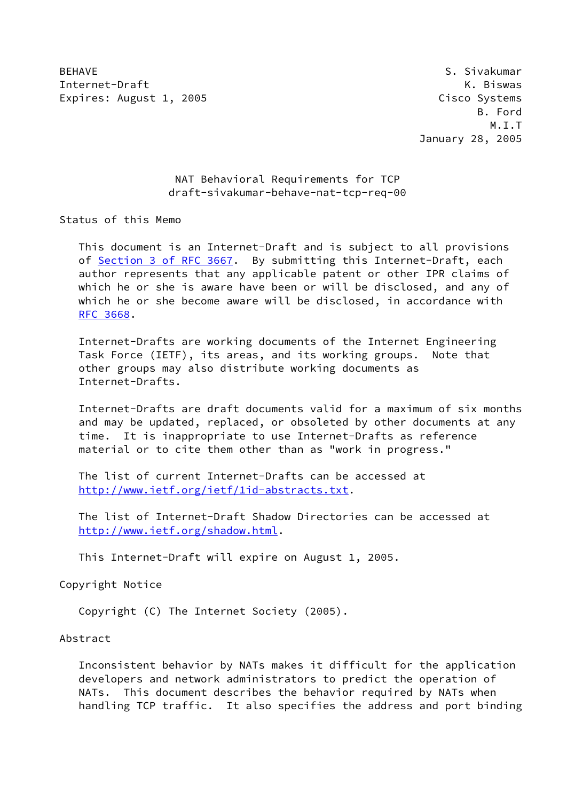BEHAVE SALES IN THE SERVICE SERVICE SERVICE SERVICE SUPPORT OF SALES IN THE SERVICE SERVICE SERVICE SERVICE SERVICE SERVICE SERVICE SERVICE SERVICE SERVICE SERVICE SERVICE SERVICE SERVICE SERVICE SERVICE SERVICE SERVICE SE Internet-Draft K. Biswas Expires: August 1, 2005 Cisco Systems

 B. Ford M.I.T January 28, 2005

> NAT Behavioral Requirements for TCP draft-sivakumar-behave-nat-tcp-req-00

Status of this Memo

 This document is an Internet-Draft and is subject to all provisions of Section [3 of RFC 3667.](https://datatracker.ietf.org/doc/pdf/rfc3667#section-3) By submitting this Internet-Draft, each author represents that any applicable patent or other IPR claims of which he or she is aware have been or will be disclosed, and any of which he or she become aware will be disclosed, in accordance with [RFC 3668](https://datatracker.ietf.org/doc/pdf/rfc3668).

 Internet-Drafts are working documents of the Internet Engineering Task Force (IETF), its areas, and its working groups. Note that other groups may also distribute working documents as Internet-Drafts.

 Internet-Drafts are draft documents valid for a maximum of six months and may be updated, replaced, or obsoleted by other documents at any time. It is inappropriate to use Internet-Drafts as reference material or to cite them other than as "work in progress."

 The list of current Internet-Drafts can be accessed at <http://www.ietf.org/ietf/1id-abstracts.txt>.

 The list of Internet-Draft Shadow Directories can be accessed at <http://www.ietf.org/shadow.html>.

This Internet-Draft will expire on August 1, 2005.

Copyright Notice

Copyright (C) The Internet Society (2005).

Abstract

 Inconsistent behavior by NATs makes it difficult for the application developers and network administrators to predict the operation of NATs. This document describes the behavior required by NATs when handling TCP traffic. It also specifies the address and port binding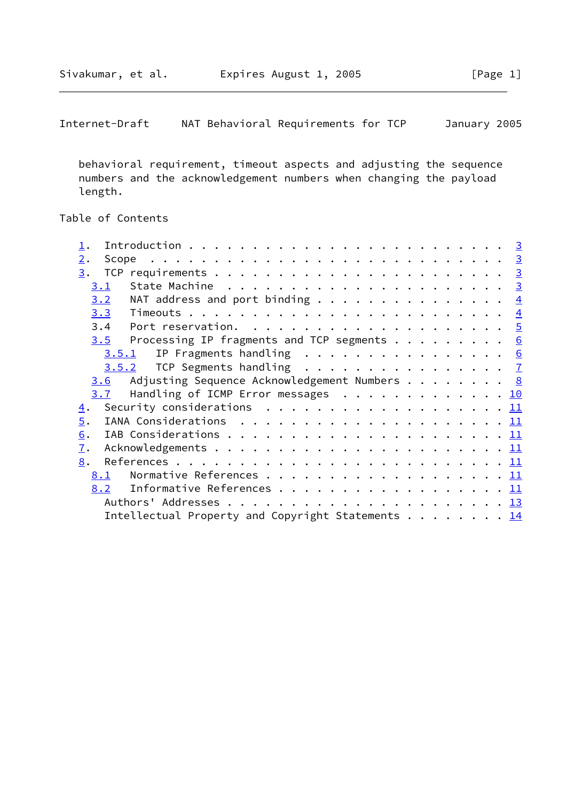Internet-Draft NAT Behavioral Requirements for TCP January 2005

 behavioral requirement, timeout aspects and adjusting the sequence numbers and the acknowledgement numbers when changing the payload length.

# Table of Contents

| 2.<br>Scope      |                                                                                           |  |  |  |  |  |
|------------------|-------------------------------------------------------------------------------------------|--|--|--|--|--|
| 3.               |                                                                                           |  |  |  |  |  |
| 3.1              |                                                                                           |  |  |  |  |  |
| 3.2              | NAT address and port binding $\frac{4}{5}$                                                |  |  |  |  |  |
|                  |                                                                                           |  |  |  |  |  |
|                  |                                                                                           |  |  |  |  |  |
| 3.5              | Processing IP fragments and TCP segments $\cdots$ $\cdots$ $\cdots$ $\cdots$              |  |  |  |  |  |
| 3.5.1            | IP Fragments handling $\ldots$ , 6                                                        |  |  |  |  |  |
|                  | $3.5.2$ TCP Segments handling $\frac{7}{2}$                                               |  |  |  |  |  |
| 3.6              | Adjusting Sequence Acknowledgement Numbers 8                                              |  |  |  |  |  |
| 3.7              | Handling of ICMP Error messages 10                                                        |  |  |  |  |  |
| $\overline{4}$ . | Security considerations $\ldots \ldots \ldots \ldots \ldots \ldots \ldots \underline{11}$ |  |  |  |  |  |
| $\overline{5}$ . | IANA Considerations $\ldots \ldots \ldots \ldots \ldots \ldots \ldots \underline{11}$     |  |  |  |  |  |
| 6.               |                                                                                           |  |  |  |  |  |
| $\mathbf{I}$ .   |                                                                                           |  |  |  |  |  |
| 8.               |                                                                                           |  |  |  |  |  |
| 8.1              |                                                                                           |  |  |  |  |  |
| 8.2              | Informative References 11                                                                 |  |  |  |  |  |
|                  |                                                                                           |  |  |  |  |  |
|                  | Intellectual Property and Copyright Statements 14                                         |  |  |  |  |  |
|                  |                                                                                           |  |  |  |  |  |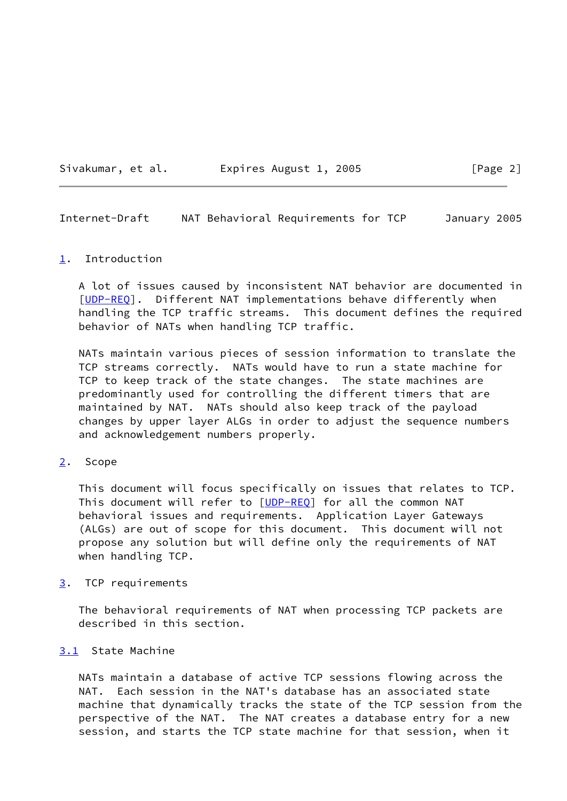Sivakumar, et al. 
Expires August 1, 2005

[Page 2]

<span id="page-2-1"></span>Internet-Draft NAT Behavioral Requirements for TCP January 2005

#### <span id="page-2-0"></span>[1](#page-2-0). Introduction

 A lot of issues caused by inconsistent NAT behavior are documented in [\[UDP-REQ](#page-13-1)]. Different NAT implementations behave differently when handling the TCP traffic streams. This document defines the required behavior of NATs when handling TCP traffic.

 NATs maintain various pieces of session information to translate the TCP streams correctly. NATs would have to run a state machine for TCP to keep track of the state changes. The state machines are predominantly used for controlling the different timers that are maintained by NAT. NATs should also keep track of the payload changes by upper layer ALGs in order to adjust the sequence numbers and acknowledgement numbers properly.

#### <span id="page-2-2"></span>[2](#page-2-2). Scope

 This document will focus specifically on issues that relates to TCP. This document will refer to [\[UDP-REQ](#page-13-1)] for all the common NAT behavioral issues and requirements. Application Layer Gateways (ALGs) are out of scope for this document. This document will not propose any solution but will define only the requirements of NAT when handling TCP.

## <span id="page-2-3"></span>[3](#page-2-3). TCP requirements

 The behavioral requirements of NAT when processing TCP packets are described in this section.

#### <span id="page-2-4"></span>[3.1](#page-2-4) State Machine

 NATs maintain a database of active TCP sessions flowing across the NAT. Each session in the NAT's database has an associated state machine that dynamically tracks the state of the TCP session from the perspective of the NAT. The NAT creates a database entry for a new session, and starts the TCP state machine for that session, when it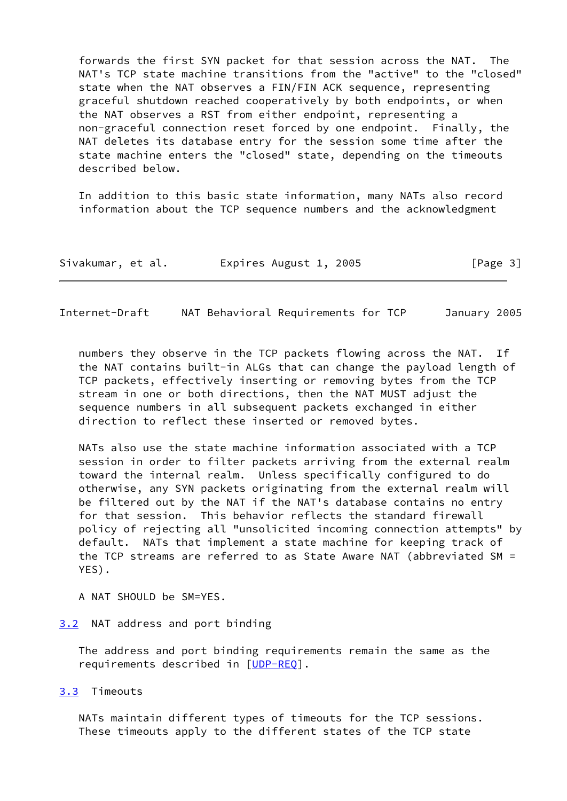forwards the first SYN packet for that session across the NAT. The NAT's TCP state machine transitions from the "active" to the "closed" state when the NAT observes a FIN/FIN ACK sequence, representing graceful shutdown reached cooperatively by both endpoints, or when the NAT observes a RST from either endpoint, representing a non-graceful connection reset forced by one endpoint. Finally, the NAT deletes its database entry for the session some time after the state machine enters the "closed" state, depending on the timeouts described below.

 In addition to this basic state information, many NATs also record information about the TCP sequence numbers and the acknowledgment

| Sivakumar, et al. | Expires August 1, 2005 | [Page 3] |
|-------------------|------------------------|----------|
|-------------------|------------------------|----------|

<span id="page-3-1"></span>Internet-Draft NAT Behavioral Requirements for TCP January 2005

 numbers they observe in the TCP packets flowing across the NAT. If the NAT contains built-in ALGs that can change the payload length of TCP packets, effectively inserting or removing bytes from the TCP stream in one or both directions, then the NAT MUST adjust the sequence numbers in all subsequent packets exchanged in either direction to reflect these inserted or removed bytes.

 NATs also use the state machine information associated with a TCP session in order to filter packets arriving from the external realm toward the internal realm. Unless specifically configured to do otherwise, any SYN packets originating from the external realm will be filtered out by the NAT if the NAT's database contains no entry for that session. This behavior reflects the standard firewall policy of rejecting all "unsolicited incoming connection attempts" by default. NATs that implement a state machine for keeping track of the TCP streams are referred to as State Aware NAT (abbreviated SM = YES).

A NAT SHOULD be SM=YES.

# <span id="page-3-0"></span>[3.2](#page-3-0) NAT address and port binding

 The address and port binding requirements remain the same as the requirements described in [[UDP-REQ](#page-13-1)].

#### <span id="page-3-2"></span>[3.3](#page-3-2) Timeouts

 NATs maintain different types of timeouts for the TCP sessions. These timeouts apply to the different states of the TCP state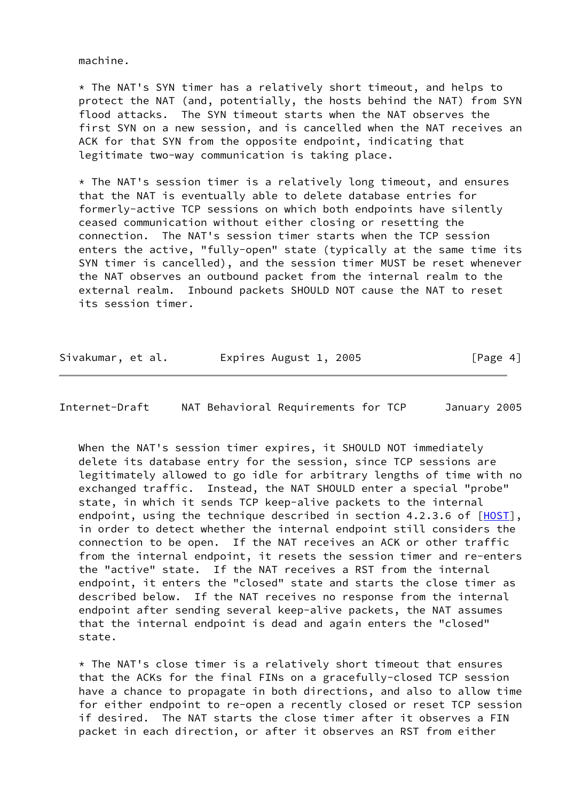machine.

 $*$  The NAT's SYN timer has a relatively short timeout, and helps to protect the NAT (and, potentially, the hosts behind the NAT) from SYN flood attacks. The SYN timeout starts when the NAT observes the first SYN on a new session, and is cancelled when the NAT receives an ACK for that SYN from the opposite endpoint, indicating that legitimate two-way communication is taking place.

 \* The NAT's session timer is a relatively long timeout, and ensures that the NAT is eventually able to delete database entries for formerly-active TCP sessions on which both endpoints have silently ceased communication without either closing or resetting the connection. The NAT's session timer starts when the TCP session enters the active, "fully-open" state (typically at the same time its SYN timer is cancelled), and the session timer MUST be reset whenever the NAT observes an outbound packet from the internal realm to the external realm. Inbound packets SHOULD NOT cause the NAT to reset its session timer.

| Sivakumar, et al. | Expires August 1, 2005 | [Page 4] |
|-------------------|------------------------|----------|
|-------------------|------------------------|----------|

<span id="page-4-0"></span>Internet-Draft NAT Behavioral Requirements for TCP January 2005

When the NAT's session timer expires, it SHOULD NOT immediately delete its database entry for the session, since TCP sessions are legitimately allowed to go idle for arbitrary lengths of time with no exchanged traffic. Instead, the NAT SHOULD enter a special "probe" state, in which it sends TCP keep-alive packets to the internal endpoint, using the technique described in section  $4.2.3.6$  of  $[HOST]$  $[HOST]$ , in order to detect whether the internal endpoint still considers the connection to be open. If the NAT receives an ACK or other traffic from the internal endpoint, it resets the session timer and re-enters the "active" state. If the NAT receives a RST from the internal endpoint, it enters the "closed" state and starts the close timer as described below. If the NAT receives no response from the internal endpoint after sending several keep-alive packets, the NAT assumes that the internal endpoint is dead and again enters the "closed" state.

 $*$  The NAT's close timer is a relatively short timeout that ensures that the ACKs for the final FINs on a gracefully-closed TCP session have a chance to propagate in both directions, and also to allow time for either endpoint to re-open a recently closed or reset TCP session if desired. The NAT starts the close timer after it observes a FIN packet in each direction, or after it observes an RST from either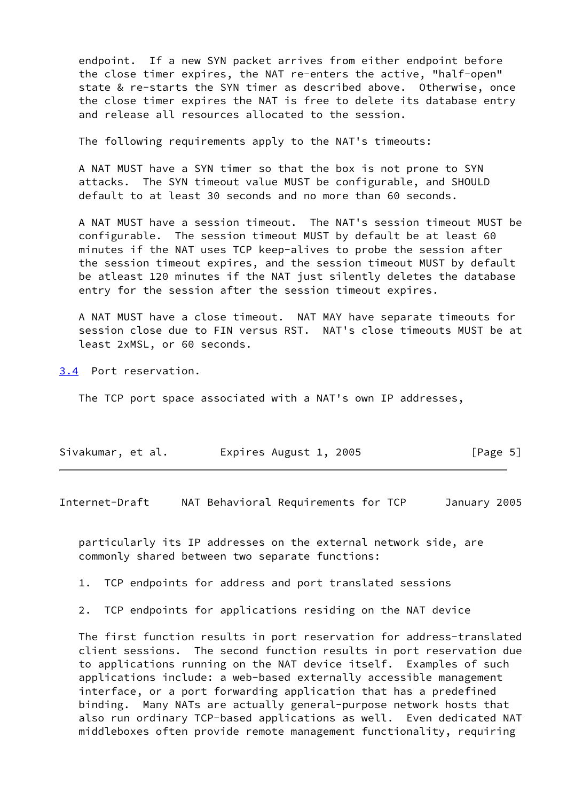endpoint. If a new SYN packet arrives from either endpoint before the close timer expires, the NAT re-enters the active, "half-open" state & re-starts the SYN timer as described above. Otherwise, once the close timer expires the NAT is free to delete its database entry and release all resources allocated to the session.

The following requirements apply to the NAT's timeouts:

 A NAT MUST have a SYN timer so that the box is not prone to SYN attacks. The SYN timeout value MUST be configurable, and SHOULD default to at least 30 seconds and no more than 60 seconds.

 A NAT MUST have a session timeout. The NAT's session timeout MUST be configurable. The session timeout MUST by default be at least 60 minutes if the NAT uses TCP keep-alives to probe the session after the session timeout expires, and the session timeout MUST by default be atleast 120 minutes if the NAT just silently deletes the database entry for the session after the session timeout expires.

 A NAT MUST have a close timeout. NAT MAY have separate timeouts for session close due to FIN versus RST. NAT's close timeouts MUST be at least 2xMSL, or 60 seconds.

<span id="page-5-1"></span>[3.4](#page-5-1) Port reservation.

The TCP port space associated with a NAT's own IP addresses,

| Sivakumar, et al. | Expires August 1, 2005 | [Page 5] |
|-------------------|------------------------|----------|
|-------------------|------------------------|----------|

<span id="page-5-0"></span>Internet-Draft NAT Behavioral Requirements for TCP January 2005

 particularly its IP addresses on the external network side, are commonly shared between two separate functions:

1. TCP endpoints for address and port translated sessions

2. TCP endpoints for applications residing on the NAT device

 The first function results in port reservation for address-translated client sessions. The second function results in port reservation due to applications running on the NAT device itself. Examples of such applications include: a web-based externally accessible management interface, or a port forwarding application that has a predefined binding. Many NATs are actually general-purpose network hosts that also run ordinary TCP-based applications as well. Even dedicated NAT middleboxes often provide remote management functionality, requiring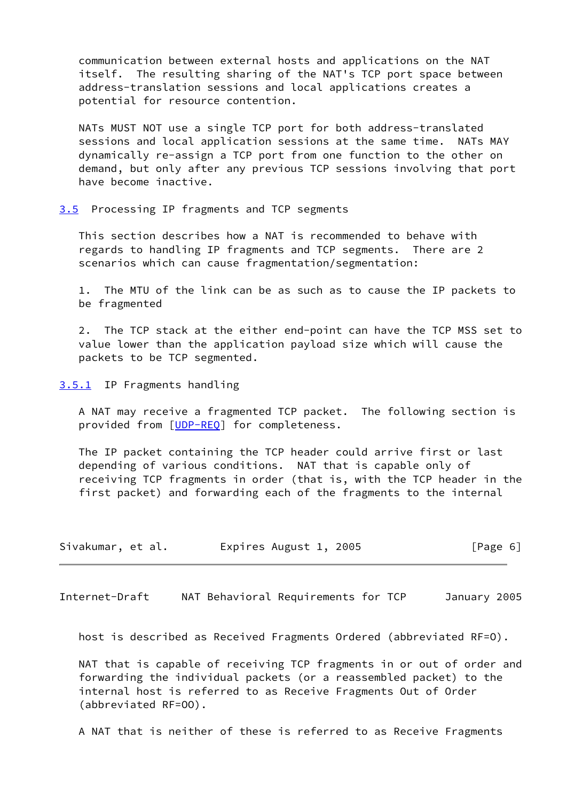communication between external hosts and applications on the NAT itself. The resulting sharing of the NAT's TCP port space between address-translation sessions and local applications creates a potential for resource contention.

 NATs MUST NOT use a single TCP port for both address-translated sessions and local application sessions at the same time. NATs MAY dynamically re-assign a TCP port from one function to the other on demand, but only after any previous TCP sessions involving that port have become inactive.

<span id="page-6-0"></span>[3.5](#page-6-0) Processing IP fragments and TCP segments

 This section describes how a NAT is recommended to behave with regards to handling IP fragments and TCP segments. There are 2 scenarios which can cause fragmentation/segmentation:

 1. The MTU of the link can be as such as to cause the IP packets to be fragmented

 2. The TCP stack at the either end-point can have the TCP MSS set to value lower than the application payload size which will cause the packets to be TCP segmented.

<span id="page-6-1"></span>[3.5.1](#page-6-1) IP Fragments handling

 A NAT may receive a fragmented TCP packet. The following section is provided from [[UDP-REQ](#page-13-1)] for completeness.

 The IP packet containing the TCP header could arrive first or last depending of various conditions. NAT that is capable only of receiving TCP fragments in order (that is, with the TCP header in the first packet) and forwarding each of the fragments to the internal

| Sivakumar, et al. | Expires August 1, 2005 | [Page 6] |
|-------------------|------------------------|----------|
|-------------------|------------------------|----------|

<span id="page-6-2"></span>Internet-Draft NAT Behavioral Requirements for TCP January 2005

host is described as Received Fragments Ordered (abbreviated RF=O).

 NAT that is capable of receiving TCP fragments in or out of order and forwarding the individual packets (or a reassembled packet) to the internal host is referred to as Receive Fragments Out of Order (abbreviated RF=OO).

A NAT that is neither of these is referred to as Receive Fragments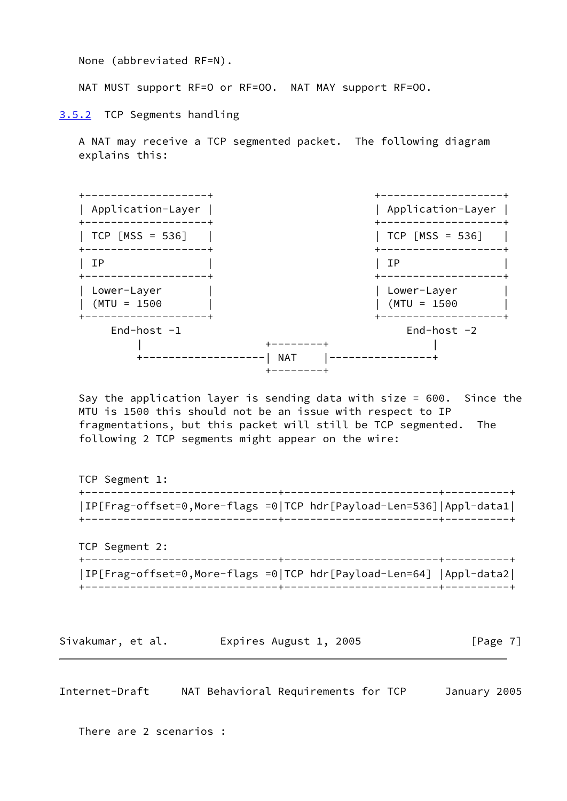None (abbreviated RF=N).

NAT MUST support RF=O or RF=OO. NAT MAY support RF=OO.

<span id="page-7-0"></span>[3.5.2](#page-7-0) TCP Segments handling

 A NAT may receive a TCP segmented packet. The following diagram explains this:



 Say the application layer is sending data with size = 600. Since the MTU is 1500 this should not be an issue with respect to IP fragmentations, but this packet will still be TCP segmented. The following 2 TCP segments might appear on the wire:

 TCP Segment 1: +------------------------------+------------------------+----------+ |IP[Frag-offset=0,More-flags =0|TCP hdr[Payload-Len=536]|Appl-data1| +------------------------------+------------------------+----------+ TCP Segment 2: +------------------------------+------------------------+----------+ |IP[Frag-offset=0,More-flags =0|TCP hdr[Payload-Len=64] |Appl-data2| +------------------------------+------------------------+----------+

Sivakumar, et al. 
Expires August 1, 2005

[Page 7]

<span id="page-7-1"></span>Internet-Draft NAT Behavioral Requirements for TCP January 2005

There are 2 scenarios :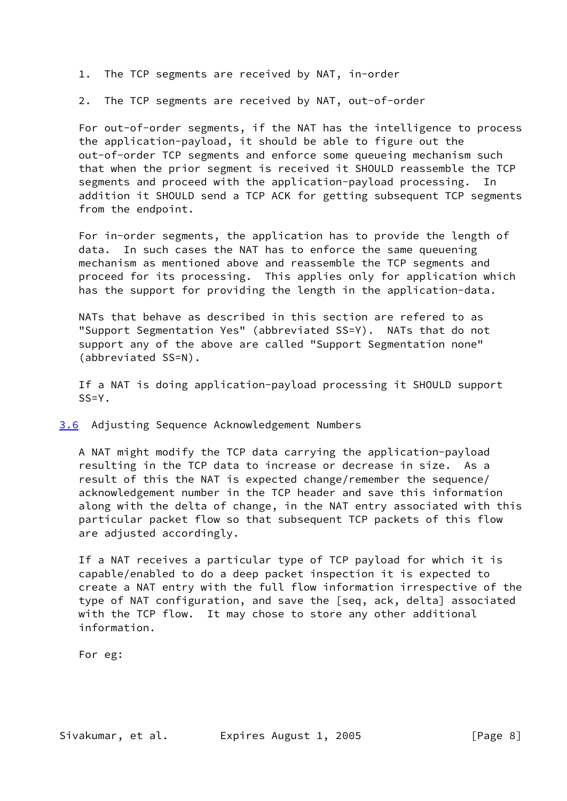- 1. The TCP segments are received by NAT, in-order
- 2. The TCP segments are received by NAT, out-of-order

 For out-of-order segments, if the NAT has the intelligence to process the application-payload, it should be able to figure out the out-of-order TCP segments and enforce some queueing mechanism such that when the prior segment is received it SHOULD reassemble the TCP segments and proceed with the application-payload processing. In addition it SHOULD send a TCP ACK for getting subsequent TCP segments from the endpoint.

 For in-order segments, the application has to provide the length of data. In such cases the NAT has to enforce the same queuening mechanism as mentioned above and reassemble the TCP segments and proceed for its processing. This applies only for application which has the support for providing the length in the application-data.

 NATs that behave as described in this section are refered to as "Support Segmentation Yes" (abbreviated SS=Y). NATs that do not support any of the above are called "Support Segmentation none" (abbreviated SS=N).

 If a NAT is doing application-payload processing it SHOULD support  $SS=Y$ .

<span id="page-8-0"></span>[3.6](#page-8-0) Adjusting Sequence Acknowledgement Numbers

 A NAT might modify the TCP data carrying the application-payload resulting in the TCP data to increase or decrease in size. As a result of this the NAT is expected change/remember the sequence/ acknowledgement number in the TCP header and save this information along with the delta of change, in the NAT entry associated with this particular packet flow so that subsequent TCP packets of this flow are adjusted accordingly.

 If a NAT receives a particular type of TCP payload for which it is capable/enabled to do a deep packet inspection it is expected to create a NAT entry with the full flow information irrespective of the type of NAT configuration, and save the [seq, ack, delta] associated with the TCP flow. It may chose to store any other additional information.

For eg: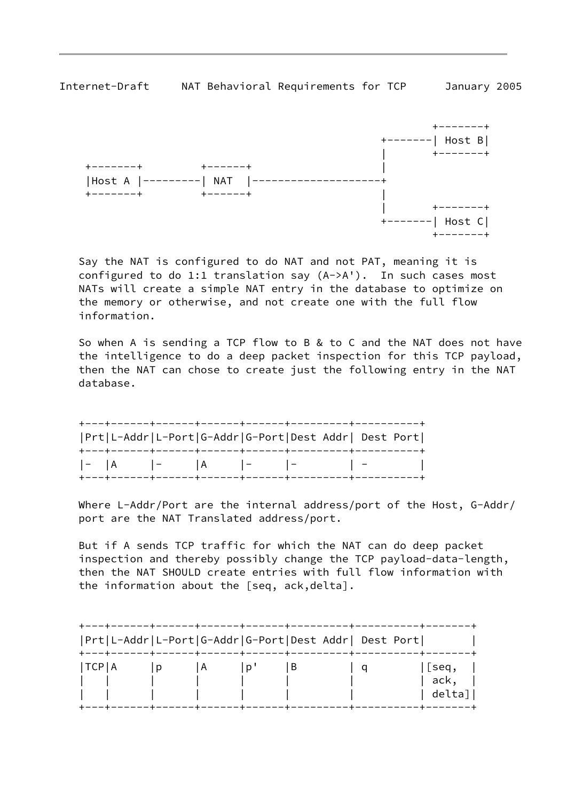





 Say the NAT is configured to do NAT and not PAT, meaning it is configured to do 1:1 translation say (A->A'). In such cases most NATs will create a simple NAT entry in the database to optimize on the memory or otherwise, and not create one with the full flow information.

 So when A is sending a TCP flow to B & to C and the NAT does not have the intelligence to do a deep packet inspection for this TCP payload, then the NAT can chose to create just the following entry in the NAT database.

| Prt L-Addr L-Port G-Addr G-Port Dest Addr  Dest Port |  |  |  |
|------------------------------------------------------|--|--|--|
| -  A  -  A  -  -  -  -                               |  |  |  |

 Where L-Addr/Port are the internal address/port of the Host, G-Addr/ port are the NAT Translated address/port.

 But if A sends TCP traffic for which the NAT can do deep packet inspection and thereby possibly change the TCP payload-data-length, then the NAT SHOULD create entries with full flow information with the information about the [seq, ack,delta].

|       |   |                |   | Prt L-Addr L-Port G-Addr G-Port Dest Addr  Dest Port |                          |
|-------|---|----------------|---|------------------------------------------------------|--------------------------|
| TCP A | D | $\overline{A}$ | в |                                                      | [seq,<br>ack,<br>delta]' |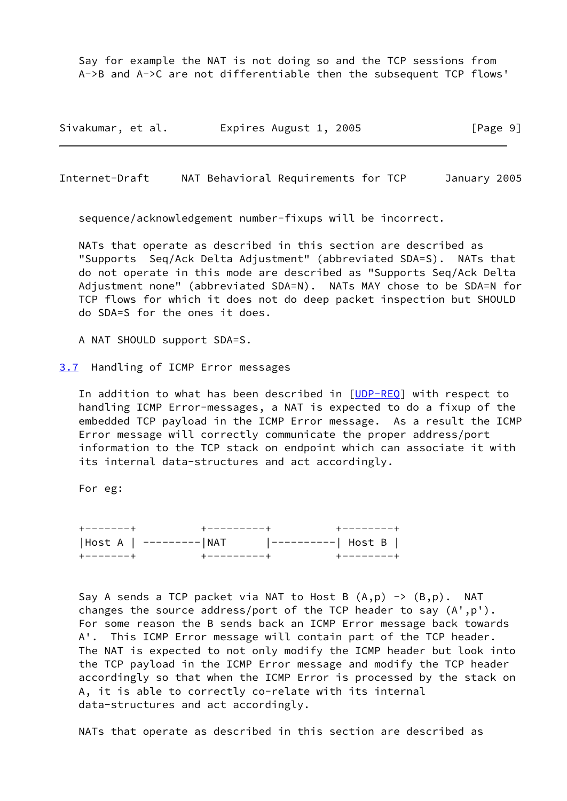Say for example the NAT is not doing so and the TCP sessions from A->B and A->C are not differentiable then the subsequent TCP flows'

Sivakumar, et al. 
Expires August 1, 2005

[Page 9]

<span id="page-10-1"></span>Internet-Draft NAT Behavioral Requirements for TCP January 2005

sequence/acknowledgement number-fixups will be incorrect.

 NATs that operate as described in this section are described as "Supports Seq/Ack Delta Adjustment" (abbreviated SDA=S). NATs that do not operate in this mode are described as "Supports Seq/Ack Delta Adjustment none" (abbreviated SDA=N). NATs MAY chose to be SDA=N for TCP flows for which it does not do deep packet inspection but SHOULD do SDA=S for the ones it does.

A NAT SHOULD support SDA=S.

<span id="page-10-0"></span>[3.7](#page-10-0) Handling of ICMP Error messages

In addition to what has been described in [[UDP-REQ](#page-13-1)] with respect to handling ICMP Error-messages, a NAT is expected to do a fixup of the embedded TCP payload in the ICMP Error message. As a result the ICMP Error message will correctly communicate the proper address/port information to the TCP stack on endpoint which can associate it with its internal data-structures and act accordingly.

For eg:

 +-------+ +---------+ +--------+ |Host A | ---------|NAT |----------| Host B | +-------+ +---------+ +--------+

Say A sends a TCP packet via NAT to Host B  $(A, p) \rightarrow (B, p)$ . NAT changes the source address/port of the TCP header to say (A',p'). For some reason the B sends back an ICMP Error message back towards A'. This ICMP Error message will contain part of the TCP header. The NAT is expected to not only modify the ICMP header but look into the TCP payload in the ICMP Error message and modify the TCP header accordingly so that when the ICMP Error is processed by the stack on A, it is able to correctly co-relate with its internal data-structures and act accordingly.

NATs that operate as described in this section are described as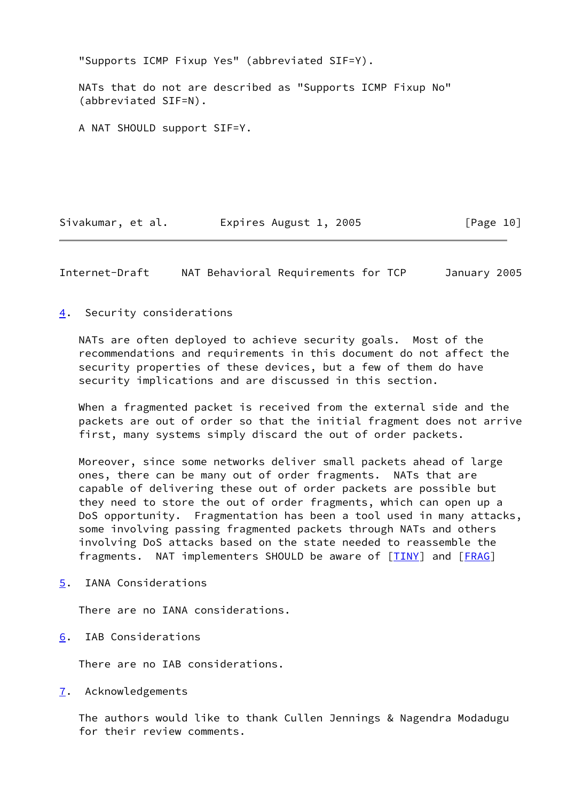"Supports ICMP Fixup Yes" (abbreviated SIF=Y).

 NATs that do not are described as "Supports ICMP Fixup No" (abbreviated SIF=N).

A NAT SHOULD support SIF=Y.

Sivakumar, et al. 
Expires August 1, 2005

[Page 10]

<span id="page-11-1"></span>Internet-Draft NAT Behavioral Requirements for TCP January 2005

<span id="page-11-0"></span>[4](#page-11-0). Security considerations

 NATs are often deployed to achieve security goals. Most of the recommendations and requirements in this document do not affect the security properties of these devices, but a few of them do have security implications and are discussed in this section.

 When a fragmented packet is received from the external side and the packets are out of order so that the initial fragment does not arrive first, many systems simply discard the out of order packets.

 Moreover, since some networks deliver small packets ahead of large ones, there can be many out of order fragments. NATs that are capable of delivering these out of order packets are possible but they need to store the out of order fragments, which can open up a DoS opportunity. Fragmentation has been a tool used in many attacks, some involving passing fragmented packets through NATs and others involving DoS attacks based on the state needed to reassemble the fragments. NAT implementers SHOULD be aware of [\[TINY](#page-13-2)] and [[FRAG\]](#page-12-4)

<span id="page-11-2"></span>[5](#page-11-2). IANA Considerations

There are no IANA considerations.

<span id="page-11-3"></span>[6](#page-11-3). IAB Considerations

There are no IAB considerations.

<span id="page-11-4"></span>[7](#page-11-4). Acknowledgements

 The authors would like to thank Cullen Jennings & Nagendra Modadugu for their review comments.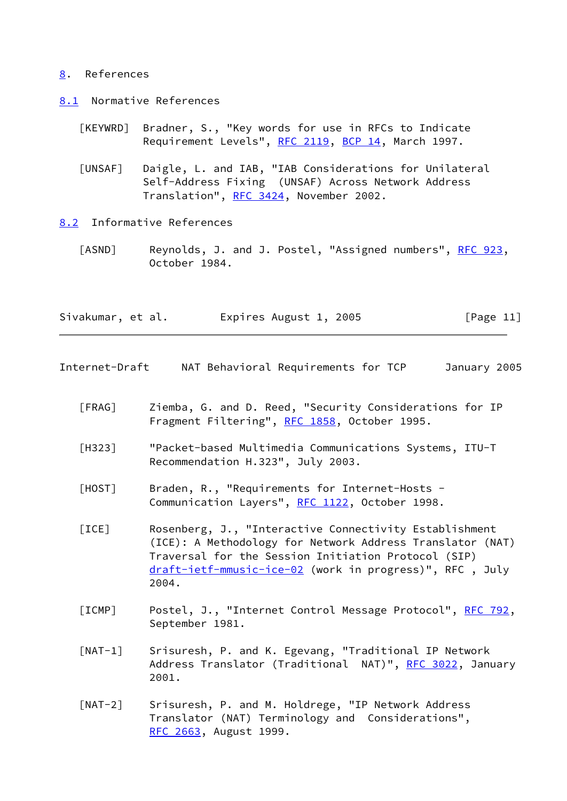#### <span id="page-12-0"></span>[8](#page-12-0). References

- <span id="page-12-1"></span>[8.1](#page-12-1) Normative References
	- [KEYWRD] Bradner, S., "Key words for use in RFCs to Indicate Requirement Levels", [RFC 2119,](https://datatracker.ietf.org/doc/pdf/rfc2119) [BCP 14](https://datatracker.ietf.org/doc/pdf/bcp14), March 1997.
	- [UNSAF] Daigle, L. and IAB, "IAB Considerations for Unilateral Self-Address Fixing (UNSAF) Across Network Address Translation", [RFC 3424](https://datatracker.ietf.org/doc/pdf/rfc3424), November 2002.
- <span id="page-12-2"></span>[8.2](#page-12-2) Informative References
	- [ASND] Reynolds, J. and J. Postel, "Assigned numbers", [RFC 923](https://datatracker.ietf.org/doc/pdf/rfc923), October 1984.

| Sivakumar, et al. | Expires August 1, 2005 | [Page 11] |
|-------------------|------------------------|-----------|
|-------------------|------------------------|-----------|

Internet-Draft NAT Behavioral Requirements for TCP January 2005

- <span id="page-12-4"></span> [FRAG] Ziemba, G. and D. Reed, "Security Considerations for IP Fragment Filtering", [RFC 1858](https://datatracker.ietf.org/doc/pdf/rfc1858), October 1995.
- [H323] "Packet-based Multimedia Communications Systems, ITU-T Recommendation H.323", July 2003.
- <span id="page-12-3"></span> [HOST] Braden, R., "Requirements for Internet-Hosts - Communication Layers", [RFC 1122](https://datatracker.ietf.org/doc/pdf/rfc1122), October 1998.
- [ICE] Rosenberg, J., "Interactive Connectivity Establishment (ICE): A Methodology for Network Address Translator (NAT) Traversal for the Session Initiation Protocol (SIP) [draft-ietf-mmusic-ice-02](https://datatracker.ietf.org/doc/pdf/draft-ietf-mmusic-ice-02) (work in progress)", RFC , July 2004.
- [ICMP] Postel, J., "Internet Control Message Protocol", [RFC 792,](https://datatracker.ietf.org/doc/pdf/rfc792) September 1981.
- [NAT-1] Srisuresh, P. and K. Egevang, "Traditional IP Network Address Translator (Traditional NAT)", [RFC 3022,](https://datatracker.ietf.org/doc/pdf/rfc3022) January 2001.
- [NAT-2] Srisuresh, P. and M. Holdrege, "IP Network Address Translator (NAT) Terminology and Considerations", [RFC 2663,](https://datatracker.ietf.org/doc/pdf/rfc2663) August 1999.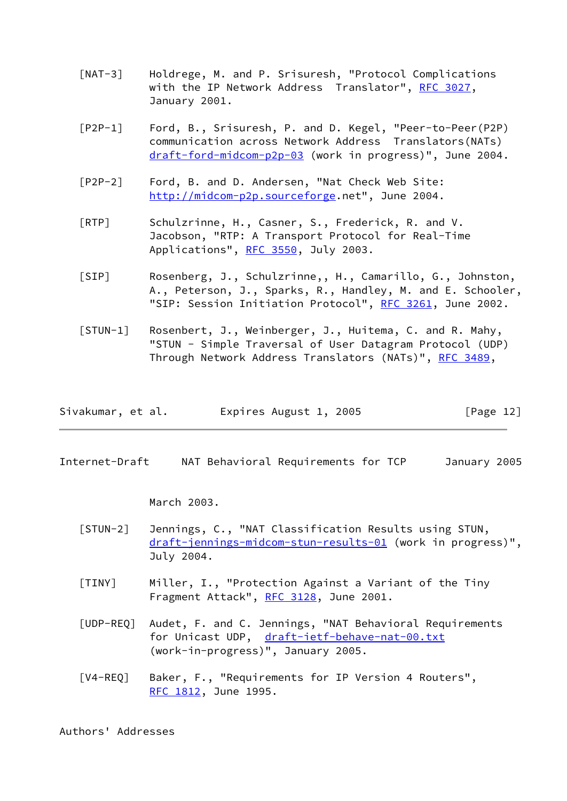- [NAT-3] Holdrege, M. and P. Srisuresh, "Protocol Complications with the IP Network Address Translator", [RFC 3027](https://datatracker.ietf.org/doc/pdf/rfc3027), January 2001.
- [P2P-1] Ford, B., Srisuresh, P. and D. Kegel, "Peer-to-Peer(P2P) communication across Network Address Translators(NATs) [draft-ford-midcom-p2p-03](https://datatracker.ietf.org/doc/pdf/draft-ford-midcom-p2p-03) (work in progress)", June 2004.
- [P2P-2] Ford, B. and D. Andersen, "Nat Check Web Site: [http://midcom-p2p.sourceforge.](http://midcom-p2p.sourceforge)net", June 2004.
- [RTP] Schulzrinne, H., Casner, S., Frederick, R. and V. Jacobson, "RTP: A Transport Protocol for Real-Time Applications", [RFC 3550](https://datatracker.ietf.org/doc/pdf/rfc3550), July 2003.
- [SIP] Rosenberg, J., Schulzrinne,, H., Camarillo, G., Johnston, A., Peterson, J., Sparks, R., Handley, M. and E. Schooler, "SIP: Session Initiation Protocol", [RFC 3261,](https://datatracker.ietf.org/doc/pdf/rfc3261) June 2002.
- [STUN-1] Rosenbert, J., Weinberger, J., Huitema, C. and R. Mahy, "STUN - Simple Traversal of User Datagram Protocol (UDP) Through Network Address Translators (NATs)", [RFC 3489](https://datatracker.ietf.org/doc/pdf/rfc3489),

| Sivakumar, et al. | Expires August 1, 2005 | [Page 12] |
|-------------------|------------------------|-----------|
|-------------------|------------------------|-----------|

<span id="page-13-0"></span>Internet-Draft NAT Behavioral Requirements for TCP January 2005

March 2003.

- [STUN-2] Jennings, C., "NAT Classification Results using STUN, [draft-jennings-midcom-stun-results-01](https://datatracker.ietf.org/doc/pdf/draft-jennings-midcom-stun-results-01) (work in progress)", July 2004.
- <span id="page-13-2"></span> [TINY] Miller, I., "Protection Against a Variant of the Tiny Fragment Attack", [RFC 3128](https://datatracker.ietf.org/doc/pdf/rfc3128), June 2001.
- <span id="page-13-1"></span> [UDP-REQ] Audet, F. and C. Jennings, "NAT Behavioral Requirements for Unicast UDP, [draft-ietf-behave-nat-00.txt](https://datatracker.ietf.org/doc/pdf/draft-ietf-behave-nat-00.txt) (work-in-progress)", January 2005.
- [V4-REQ] Baker, F., "Requirements for IP Version 4 Routers", [RFC 1812,](https://datatracker.ietf.org/doc/pdf/rfc1812) June 1995.

Authors' Addresses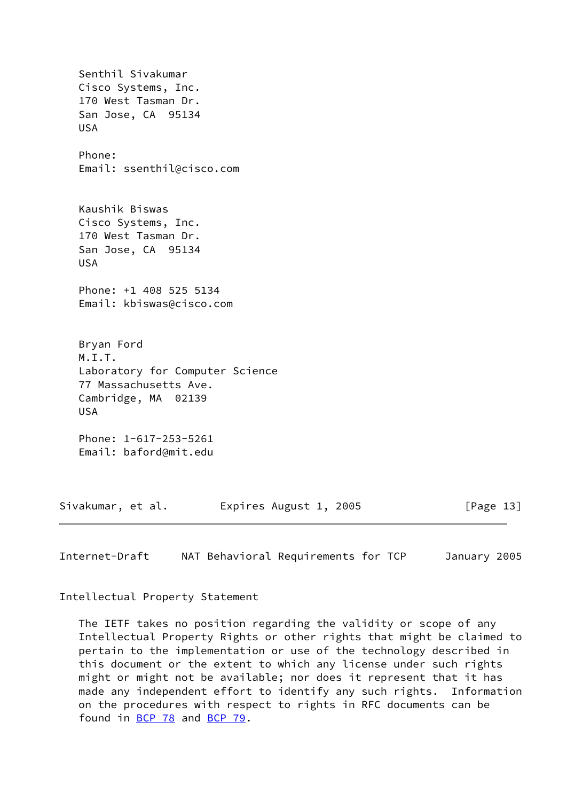Senthil Sivakumar Cisco Systems, Inc. 170 West Tasman Dr. San Jose, CA 95134 USA Phone: Email: ssenthil@cisco.com Kaushik Biswas Cisco Systems, Inc. 170 West Tasman Dr. San Jose, CA 95134 USA Phone: +1 408 525 5134 Email: kbiswas@cisco.com Bryan Ford M.I.T. Laboratory for Computer Science 77 Massachusetts Ave. Cambridge, MA 02139 USA Phone: 1-617-253-5261 Email: baford@mit.edu Sivakumar, et al. Expires August 1, 2005 [Page 13]

<span id="page-14-0"></span>Internet-Draft NAT Behavioral Requirements for TCP January 2005

Intellectual Property Statement

 The IETF takes no position regarding the validity or scope of any Intellectual Property Rights or other rights that might be claimed to pertain to the implementation or use of the technology described in this document or the extent to which any license under such rights might or might not be available; nor does it represent that it has made any independent effort to identify any such rights. Information on the procedures with respect to rights in RFC documents can be found in [BCP 78](https://datatracker.ietf.org/doc/pdf/bcp78) and [BCP 79](https://datatracker.ietf.org/doc/pdf/bcp79).